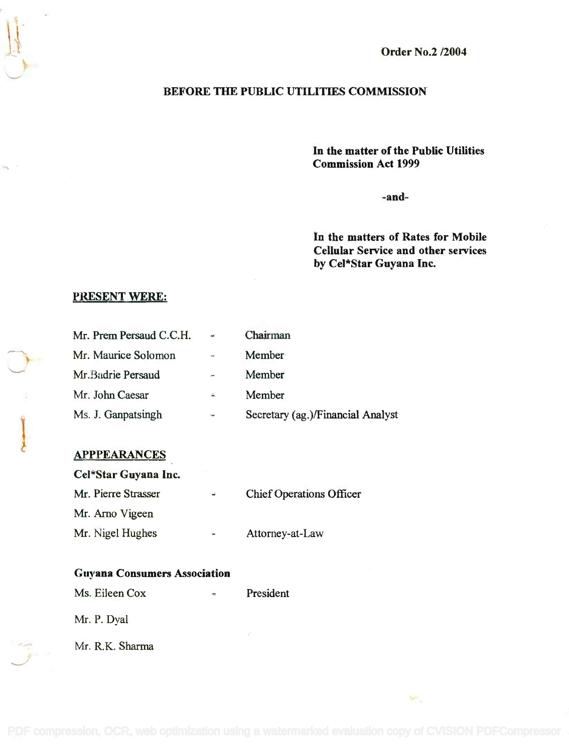Order No.2 /2004

## BEFORE THE PUBLIC UTILITIES COMMISSION

In the matter of the Public Utilities **In the matter of the Public Utilities** Commission Act 1999 **Commission Act 1999**

-and-

In the matters of Rates for Mobile **In the matters of Rates for Mobile** Cellular Service and other services **Cellular Service and other services** by Cel\*Star Guyana Inc. **by Cel\*Star Guyana Inc.**

 $\mathcal{P}^{\mathcal{C}}$ 

### PRESENT WERE:

 $\mathbf{r}$ 

| Mr. Prem Persaud C.C.H. | $\equiv$      | Chairman                          |
|-------------------------|---------------|-----------------------------------|
| Mr. Maurice Solomon     | $\frac{1}{2}$ | Member                            |
| Mr. Badrie Persaud      | $y = 1$       | Member                            |
| Mr. John Caesar         | é,            | Member                            |
| Ms. J. Ganpatsingh      | $\epsilon$    | Secretary (ag.)/Financial Analyst |

## **APPPEARANCES**

| Cel*Star Guyana Inc. |                          |                                 |  |  |  |  |  |
|----------------------|--------------------------|---------------------------------|--|--|--|--|--|
| Mr. Pierre Strasser  | îΦ.                      | <b>Chief Operations Officer</b> |  |  |  |  |  |
| Mr. Arno Vigeen      |                          |                                 |  |  |  |  |  |
| Mr. Nigel Hughes     | $\overline{\phantom{a}}$ | Attorney-at-Law                 |  |  |  |  |  |

### Guyana Consumers Association **Guyana Consumers Association**

Ms. Eileen Cox **President** 

Mr. P. Dyal

Mr. R.K. Sharma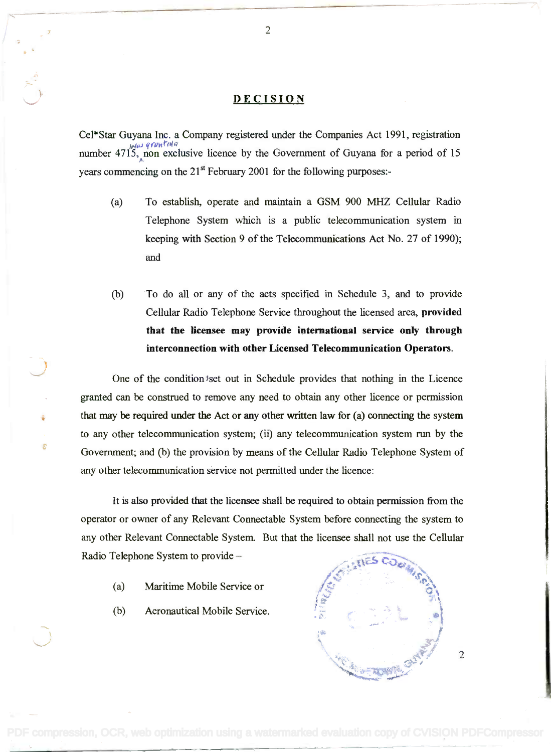### **DECISION**

Cel\*Star Guyana Inc. a Company registered under the Companies Act 1991, registration Cel\*Star Guyana Inc. a Company registered under the Companies Act 1991, registration *IMA-role granted a*<br>*number 4715, non exclusive licence by the Government of Guyana for a period of 15* years commencing on the 21<sup>st</sup> February 2001 for the following purposes:number 4715, non exclusive licence by the Government of Guyana for a period of 15

- (a) To establish, operate and maintain a GSM 900 MHZ Cellular Radio (a) To establish, operate and maintain a GSM 900 MHZ Cellular Radio Telephone System which is a public telecommunication system in Telephone System which is a public telecommunication system in keeping with Section 9 of the Telecommunications Act No. 27 of 1990); keeping with Section 9 of the Telecommunications Act No. 27 of 1990); and and
- (b) To do all or any of the acts specified in Schedule 3, and to provide (b) To do all or any of the acts specified in Schedule 3, and to provide Cellular Radio Telephone Service throughout the licensed area, provided Cellular Radio Telephone Service throughout the licensed area, provided that the licensee may provide international service only through that the licensee may provide international service only through interconnection with other Licensed Telecommunication Operators. interconnection with other Licensed Telecommunication Operators.

One of the condition set out in Schedule provides that nothing in the Licence granted can be construed to remove any need to obtain any other licence or permission granted can be construed to remove any need to obtain any other licence or permission that may be required under the Act or any other written law for (a) connecting the system that may be required under the Act or any other written law for (a) connecting the system to any other telecommunication system; (ii) any telecommunication system run by the to any other telecommunication system; (ii) any telecommunication system run by the Government; and (b) the provision by means of the Cellular Radio Telephone System of Government; and (b) the provision by means of the Cellular Radio Telephone System of any other telecommunication service not permitted under the licence: any other telecommunication service not permitted under the licence:

It is also provided that the licensee shall be required to obtain permission from the operator or owner of any Relevant Connectable System before connecting the system to any other Relevant Connectable System. But that the licensee shall not use the Cellular any other Relevant Connectable System. But that the licensee shall not use the Cellular Radio Telephone System to provide  $-$ 

- (a) Maritime Mobile Service or
- (b) Aeronautical Mobile Service.

vot  $\sim$  ...,  $\sim$ **...** <~." . *'i* ~:; \ ~ j  $\frac{1}{2}$  . where  $\frac{1}{2}$ l::;-", I,  $\frac{1}{2}$  .  $\frac{1}{2}$  .  $\frac{1}{2}$  .  $\frac{1}{2}$  .  $\frac{1}{2}$  .  $\frac{1}{2}$  .  $\frac{1}{2}$  .  $\frac{1}{2}$  .  $\frac{1}{2}$  .  $\frac{1}{2}$  .  $\frac{1}{2}$  .  $\frac{1}{2}$  .  $\frac{1}{2}$  .  $\frac{1}{2}$  .  $\frac{1}{2}$  .  $\frac{1}{2}$  .  $\frac{1}{2}$  .  $\frac{1}{2}$  .  $\frac{1$  $\mathcal{L} = \{ \mathcal{L} \mid \mathcal{L} = \mathcal{L} \}$ *.I..... .o!"'* ~1*.!' d\''t''<f'*  $\mathcal{L}^{\mathcal{L}}$ ",~•• , d,?t~ "'';' '.• <sup>~</sup> "::;.t ;~'"'''' " *<u>~~~~~~</u>* 

2

2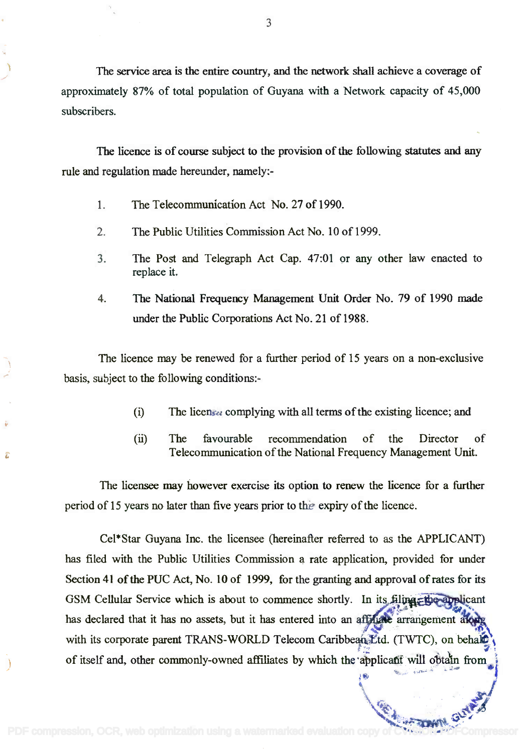The service area is the entire country, and the network shall achieve a coverage of The service area is the entire country, and the network shall achieve a coverage of approximately 87% of total population of Guyana with a Network capacity of 45,000 approximately 87% of total population of Guyana with a Network capacity of 45,000 subscribers. subscribers.

The licence is of course subject to the provision of the following statutes and any The licence is of course subject to the provision of the following statutes and any rule and regulation made hereunder, namely-- rule and regulation made hereunder, namely:-

- 1. The Telecommunication Act No. 27 of 1990.
- 2. The Public Utilities Commission Act No. 10 of 1999.
- 3. The Post and Telegraph Act Cap. 47:01 or any other law enacted to 3. The Post and Telegraph Act Cap. 47:01 or any other law enacted to replace it. replace it.
- 4. The National Frequency Management Unit Order No. 79 of 1990 made 4. The National Frequency Management Unit Order No. 79 of 1990 made under the Public Corporations Act No. 21 of 1988. under the Public Corporations Act No. 21 of 1988.

The licence may be renewed for a further period of 15 years on a non-exclusive The licence may be renewed for a further period of 15 years on a non-exclusive basis, subject to the following conditions:- basis, subject to the following conditions:-

- $(i)$ The licensee complying with all terms of the existing licence; and
- The favourable recommendation of the Director of The favourable recommendation of the Director of  $(ii)$ Telecommunication of the National Frequency Management Unit. Telecommunication of the National Frequency Management Unit.

t.

If.\> 'f,:; •. ,., .. ,-, •• <sup>~</sup> .;;" .• ;;.. ;)

**~~~~** 

\\*\*; ~*;J '"* <t"'! "'-

:".4~"",,"''''

I

The licensee may however exercise its option to renew the licence for a further The licensee may however exercise its option to renew the licence for a further period of 15 years no later than five years prior to the expiry of the licence. period of 15 years no later than five years prior to the expiry of the licence.

Cel\*Star Guyana Inc. the licensee (hereinafter referred to as the APPLICANT) Cel\*Star Guyana Inc. the licensee (hereinafter referred to as the APPLICANT) has filed with the Public Utilities Commission a rate application, provided for under has filed with the Public Utilities Commission a rate application, provided for under Section 41 of the PUC Act, No. 10 of 1999, for the granting and approval of rates for its GSM Cellular Service which is about to commence shortly. In its filing the applicant V". '"W:Zie has declared that it has no assets, but it has entered into an aff has arrangement along with its corporate parent TRANS-WORLD Telecom Caribbean *Etd.* (TWTC), on behale of itself and, other commonly-owned affiliates by which the applicant will obtain from  $\bullet$ *t\**  $\frac{1}{2}$  *<i>t*  $\frac{1}{2}$  *x*  $\frac{1}{2}$  *x*  $\frac{1}{2}$  *x*  $\frac{1}{2}$  *x*  $\frac{1}{2}$  *x*  $\frac{1}{2}$  *x*  $\frac{1}{2}$  *x*  $\frac{1}{2}$  *x*  $\frac{1}{2}$  *x*  $\frac{1}{2}$  *x*  $\frac{1}{2}$  *x*  $\frac{1}{2}$  *x*  $\frac{1}{2}$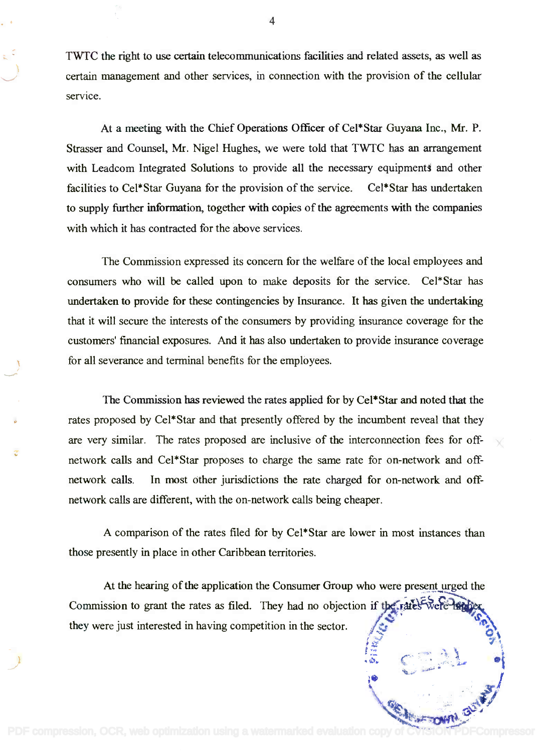TWTC the right to use certain telecommunications facilities and related assets, as well as TWTC the right to use certain telecommunications facilities and related assets, as well as certain management and other services, in connection with the provision of the cellular certain management and other services, in connection with the provision of the cellular service.

At a meeting with the Chief Operations Officer of Cel\*Star Guyana Inc., Mr. P. At a meeting with the Chief Operations Officer of Cel\*Star Guyana Inc., Mr. P. Strasser and Counsel, Mr. Nigel Hughes, we were told that TWTC has an arrangement Strasser and Counsel, Mr. Nigel Hughes, we were told that TWTC has an arrangement with Leadcom Integrated Solutions to provide all the necessary equipments and other facilities to Cel\*Star Guyana for the provision of the service. Cel\*Star has undertaken facilities to Cel\*Star Guyana for the provision of the service. Cel\*Star has undertaken to supply further information, together with copies of the agreements with the companies to supply further information, together with copies of the agreements with the companies with which it has contracted for the above services. with which it has contracted for the above services.

The Commission expressed its concern for the welfare of the local employees and The Commission expressed its concern for the welfare of the local employees and consumers who will be called upon to make deposits for the service. Cel\*Star has consumers who will be called upon to make deposits for the service. Cel\*Star has undertaken to provide for these contingencies by Insurance. It has given the undertaking undertaken to provide for these contingencies by Insurance. It has given the undertaking that it will secure the interests of the consumers by providing insurance coverage for the that it will secure the interests of the consumers by providing insurance coverage for the customers' financial exposures. And it has also undertaken to provide insurance coverage customers' financial exposures. And it has also undertaken to provide insurance coverage for all severance and terminal benefits for the employees. for all severance and terminal benefits for the employees.

The Commission has reviewed the rates applied for by Cel\*Star and noted that the The Commission has reviewed the rates applied for by Cel\*Star and noted that the rates proposed by Cel\*Star and that presently offered by the incumbent reveal that they are very similar. The rates proposed are inclusive of the interconnection fees for offnetwork calls and Cel\*Star proposes to charge the same rate for on-network and off-network calls and Cel\*Star proposes to charge the same rate for on-network and offnetwork calls. In most other jurisdictions the rate charged for on-network and off-network calls. In most other jurisdictions the rate charged for on-network and offnetwork calls are different, with the on-network calls being cheaper. network calls are different, with the on-network calls being cheaper.

A comparison of the rates filed for by Cel\*Star are lower in most instances than A comparison of the rates filed for by Cel\*Star are lower in most instances than those presently in place in other Caribbean territories. those presently in place in other Caribbean territories.

At the hearing of the application the Consumer Group who were present urged the Commission to grant the rates as filed. They had no objection if the rates were the bex they were just interested in having competition in the sector.  $\sqrt{z^*}$  $\mathcal{L}$ *t·:) . ~\*

 $\frac{1}{2}$ 

*~~ry .~' ~ , ~ .~. C···· ..*,..:::1.... .[ lil ,....•..~•...• : *j*

4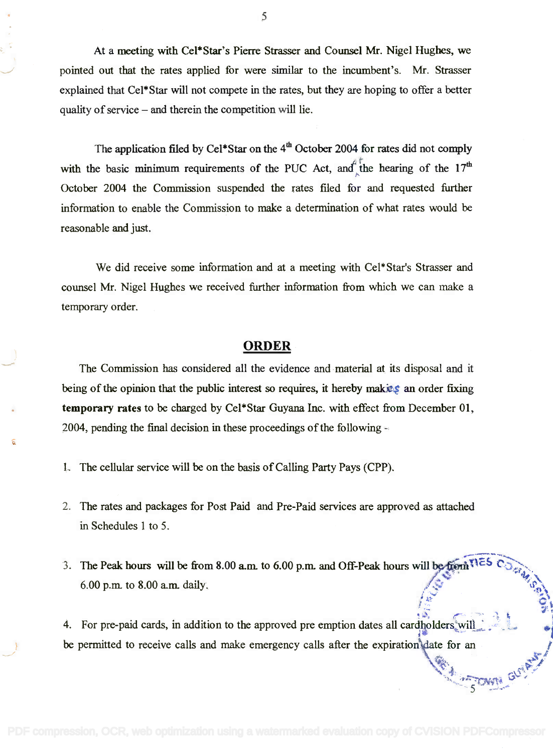At a meeting with Cel\*Star's Pierre Strasser and Counsel Mr. Nigel Hughes, we At a meeting with CeI\*Star's Pierre Strasser and Counsel Mr. Nigel Hughes, we pointed out that the rates applied for were similar to the incumbent's. Mr. Strasser pointed out that the rates applied for were similar to the incumbent's. Mr. Strasser explained that Cel\*Star will not compete in the rates, but they are hoping to offer a better explained that Cel\*Star will not compete in the rates, but they are hoping to offer a better quality of service and therein the competition will lie. quality of service - and therein the competition will lie.

The application filed by Cel\*Star on the 4<sup>th</sup> October 2004 for rates did not comply with the basic minimum requirements of the PUC Act, and the hearing of the  $17<sup>th</sup>$ October 2004 the Commission suspended the rates filed for and requested further October 2004 the Commission suspended the rates filed for and requested further information to enable the Commission to make a determination of what rates would be information to enable the Commission to make a determination of what rates would be reasonable and just. reasonable and just. with the basic minimum requirements of the PUC Act, and the hearing of the  $17<sup>th</sup>$ 

We did receive some information and at a meeting with Cel\*Star's Strasser and We did receive some information and at a meeting with Cel\*Star's Strasser and counsel Mr. Nigel Hughes we received further information from which we can make a counsel Mr. Nigel Hughes we received further information from which we can make a temporary order. temporary order.

## ORDER **ORDER**

The Commission has considered all the evidence and material at its disposal and it The Commission has considered all the evidence and·material at its disposal and it being of the opinion that the public interest so requires, it hereby making an order fixing temporary rates to be charged by Cel\*Star Guyana Inc. with effect from December 01, temporary rates to be charged by Cel\*Star Guyana Inc. with effect from December 01, 2004, pending the final decision in these proceedings of the following  $-\frac{1}{2}$ 

- 1. The cellular service will be on the basis of Calling Party Pays (CPP).
- 2. The rates and packages for Post Paid and Pre-Paid services are approved as attached 2. The rates and packages for Post Paid and Pre-Paid services are approved as attached in Schedules 1 to 5. in Schedules I to 5.
- 3. The Peak hours will be from 8.00 a.m. to 6.00 p.m. and Off-Peak hours will be from  $\mathbb{R}^5$ 6.00 p.m. to 8.00 a.m. daily. he reak nours will be from 8.00 a.m. to 8.00 a.m. to 8.00 a.m. daily. *1'<01".- .•*

 $\mathcal{F}_{\mathbf{a}}$  is a set of  $\mathcal{F}_{\mathbf{a}}$ 

1"14,... ·"•...,.~~"-~.'5*.*~*l,it~* ••.. \_ .•• -..;1>-

 $^{\circ}$  :  $^{\circ}$  and  $^{\circ}$ 

1<sup>4</sup> 01 "'- .•••. " ~'t

 $2^{\circ}$  :

4. For pre-paid cards, in addition to the approved pre emption dates all cardholders will  $\ddots$ be permitted to receive calls and make emergency calls after the expiration date for an  $\blacksquare$  $\mathbb{R}$   $\mathbb{R}$ *~.\•. r·· -"*to 4. For pre-paid cards, in addition to the approved pre emption dates all cardholders'will  $\ddot{\phantom{a}}$ . ¢~.. *~"'ii-*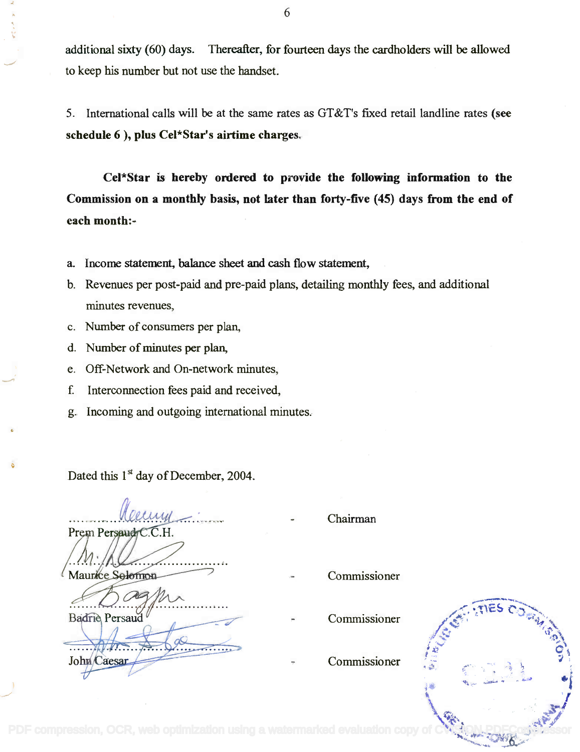additional sixty (60) days. Thereafter, for fourteen days the cardholders will be allowed additional sixty (60) days. Thereafter, for fourteen days the cardholders will be allowed to keep his number but not use the handset. to keep his number but not use the handset.

5. International calls will be at the same rates as GT&T's fixed retail landline rates (see 5. International calls will be at the same rates as GT&T's fixed retaillandline rates (see schedule 6 ), plus Cel\*Star's airtime charges. schedule 6), plus Cel\*Star's airtime charges.

Cel\*Star is hereby ordered to provide the following information to the Cel\*Star is hereby ordered to paovide the following information to the Commission on a monthly basis, not later than forty-five (45) days from the end of Commission on a monthly basis, not later than forty-five (45) days from the end of each month:- each month:-

- a. Income statement, balance sheet and cash flow statement, a. Income statement, balance sheet and cash flow statement,
- b. Revenues per post-paid and pre-paid plans, detailing monthly fees, and additional b. Revenues per post-paid and pre-paid plans, detailing monthly fees, and additional minutes revenues,
- c. Number of consumers per plan, c. Number of consumers per plan,
- d. Number of minutes per plan, d. Number of minutes per plan,
- e. Off-Network and On-network minutes, e. Off-Network and On-network minutes,
- f. Interconnection fees paid and received, f. Interconnection fees paid and received,
- g. Incoming and outgoing international minutes. g. Incoming and outgoing international minutes.

Dated this  $1<sup>st</sup>$  day of December, 2004.

............. ~ . Prem Persaud

Maurice Selemon

John Caesar

**Badrie** Persaud

Chairman

- Commissioner
- Commissioner
- Commissioner

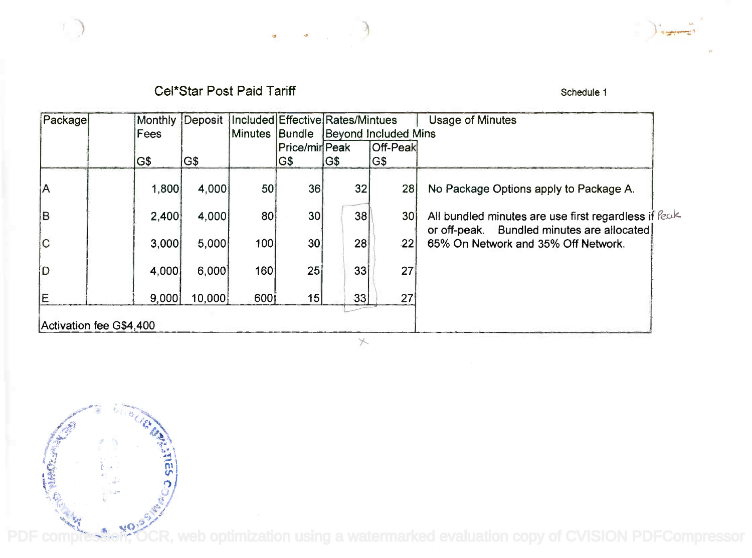Cel\*Star Post Paid Tariff Schedule 1 Schedule 1

 $\overline{a}$ 

 $\mathbf{d}$ 

| Package | Monthly | Deposit | Included Effective Rates/Mintues |               |    |                      | <b>Usage of Minutes</b>                                                                            |
|---------|---------|---------|----------------------------------|---------------|----|----------------------|----------------------------------------------------------------------------------------------------|
|         | Fees    |         | Minutes                          | Bundle        |    | Beyond Included Mins |                                                                                                    |
|         |         |         |                                  | Price/minPeak |    | <b>Off-Peak</b>      |                                                                                                    |
|         | IG\$    | G\$     |                                  | G\$           | GS | G\$                  |                                                                                                    |
| ¦A      | 1,800   | 4,000   | 50                               | 36            | 32 | 28 <sup>1</sup>      | No Package Options apply to Package A.                                                             |
| lв      | 2,400   | 4.000   | 80                               | 30            | 38 | 30 <sup>1</sup>      | All bundled minutes are use first regardless if feak<br>or off-peak. Bundled minutes are allocated |
| C       | 3,000   | 5,000   | 100                              | 30            | 28 | 22                   | 65% On Network and 35% Off Network.                                                                |
| İD      | 4,000   | 6,000   | 160                              | 25            | 33 | 27                   |                                                                                                    |
| İΕ      | 9,000   | 10,000  | 600i                             | 15            | 33 | 27                   |                                                                                                    |



 $\left( \begin{array}{c} 1 \end{array} \right)$ 

[PDF compression, OCR, web optimization using a watermarked evaluation copy of CVISION PDFCompressor](http://www.cvisiontech.com)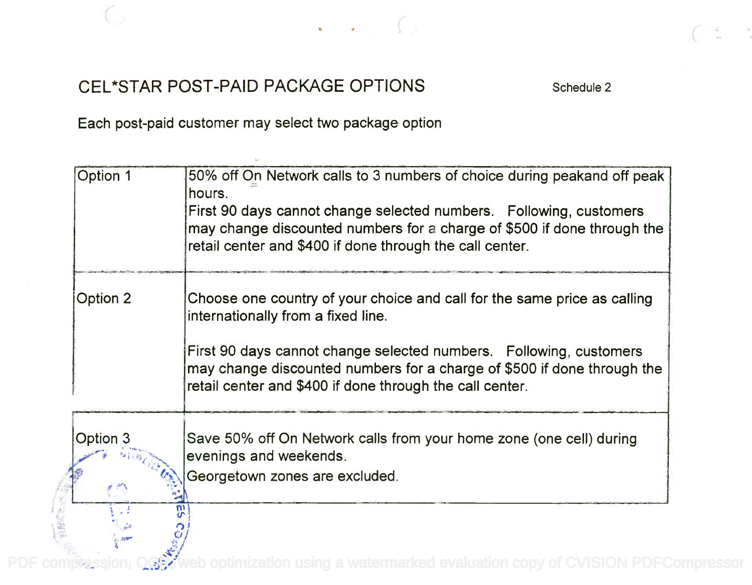



## CEL\*STAR POST -PAID PACKAGE OPTIONS Schedule 2 CEL\*STAR POST-PAID PACKAGE OPTIONS

Each post-paid customer may select two package option Each post-paid customer may select two package option

| Option 1 | 50% off On Network calls to 3 numbers of choice during peakand off peak<br>hours.<br>First 90 days cannot change selected numbers. Following, customers<br>may change discounted numbers for a charge of \$500 if done through the<br>retail center and \$400 if done through the call center. |
|----------|------------------------------------------------------------------------------------------------------------------------------------------------------------------------------------------------------------------------------------------------------------------------------------------------|
| Option 2 | Choose one country of your choice and call for the same price as calling<br>internationally from a fixed line.                                                                                                                                                                                 |
|          | First 90 days cannot change selected numbers. Following, customers<br>may change discounted numbers for a charge of \$500 if done through the<br>retail center and \$400 if done through the call center.                                                                                      |
| Option 3 | Save 50% off On Network calls from your home zone (one cell) during<br>evenings and weekends.                                                                                                                                                                                                  |
|          | Georgetown zones are excluded.                                                                                                                                                                                                                                                                 |
|          |                                                                                                                                                                                                                                                                                                |

 $\mathcal{L}^{\mathcal{A}}$ PDF compression, OCC web optimization using a watermarked evaluation copy of CVISION PDFCompressor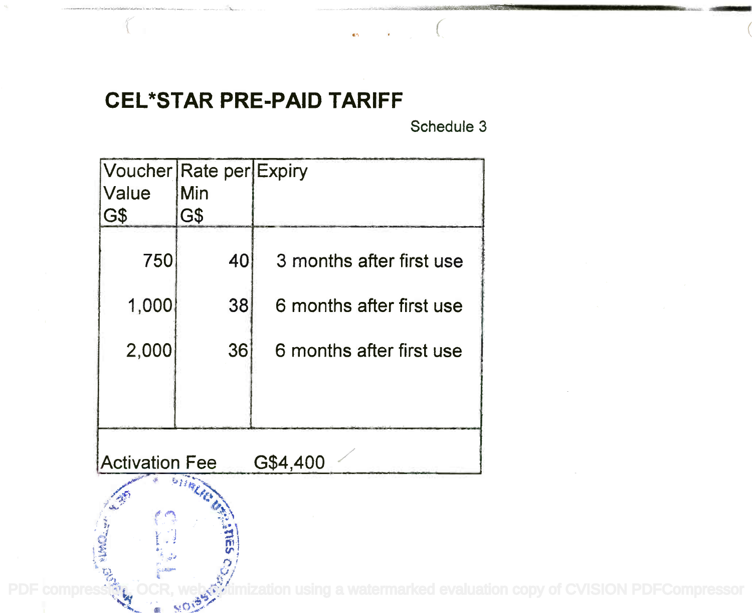# CEL\*STAR PRE-PAID TARIFF **CEL\*STAR PRE-PAID TARIFF**

Schedule 3

 $\sim$   $\sim$   $\sim$ 

**Service Communication** 

| Voucher Rate per Expiry<br>Value<br>G\$ | Min<br>G\$  |                          |
|-----------------------------------------|-------------|--------------------------|
| 750                                     | 40          | 3 months after first use |
| 1,000                                   | 38          | 6 months after first use |
| 2,000                                   | 36          | 6 months after first use |
|                                         |             |                          |
| <b>Activation Fee</b>                   |             | G\$4,400                 |
|                                         | <b>REEL</b> |                          |
|                                         |             |                          |

PDF compression, OCR, web othimization using a watermarked evaluation copy of CVISION PDFCompressor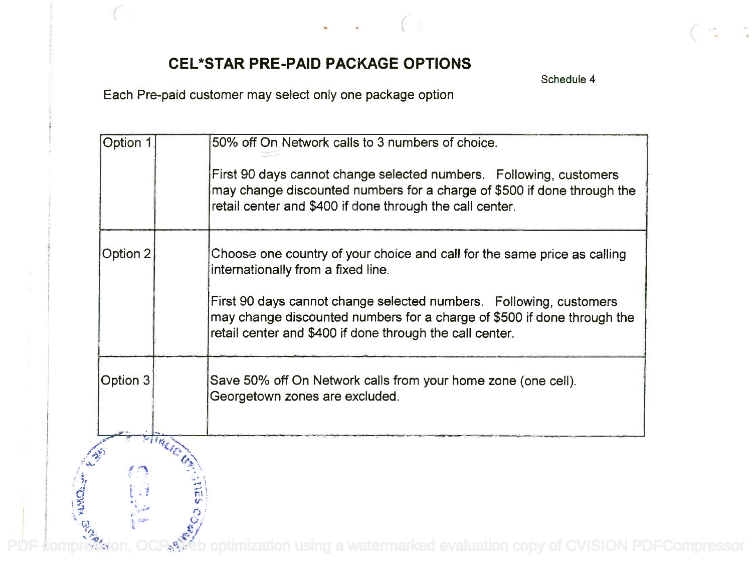

Schedule 4

Each Pre-paid customer may select only one package option Each Pre-paid customer may select only one package option

| 50% off On Network calls to 3 numbers of choice.                                                                                                                                                          |
|-----------------------------------------------------------------------------------------------------------------------------------------------------------------------------------------------------------|
| First 90 days cannot change selected numbers. Following, customers<br>may change discounted numbers for a charge of \$500 if done through the<br>retail center and \$400 if done through the call center. |
| Choose one country of your choice and call for the same price as calling<br>internationally from a fixed line.                                                                                            |
| First 90 days cannot change selected numbers. Following, customers<br>may change discounted numbers for a charge of \$500 if done through the<br>retail center and \$400 if done through the call center. |
| Save 50% off On Network calls from your home zone (one cell).<br>Georgetown zones are excluded.                                                                                                           |
|                                                                                                                                                                                                           |
|                                                                                                                                                                                                           |
|                                                                                                                                                                                                           |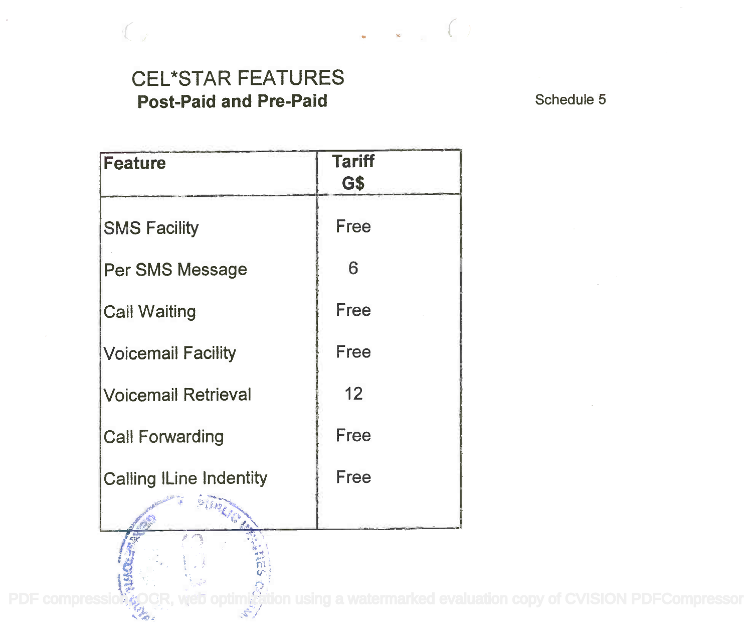## CEL\*STAR FEATURES CEL\*STAR FEATURES Post-Paid and Pre-Paid Schedule 5

| <b>Feature</b>                 | <b>Tariff</b><br>G\$ |
|--------------------------------|----------------------|
| <b>SMS Facility</b>            | Free                 |
| Per SMS Message                | 6                    |
| <b>Call Waiting</b>            | Free                 |
| <b>Voicemail Facility</b>      | Free                 |
| <b>Voicemail Retrieval</b>     | 12                   |
| <b>Call Forwarding</b>         | Free                 |
| <b>Calling ILine Indentity</b> | Free                 |
| <b>Riverside</b>               |                      |

[PDF compression, OCR, web optimization using a watermarked evaluation copy of CVISION PDFCompressor](http://www.cvisiontech.com)<br>PDF compression, OCR, web optimization using a watermarked evaluation copy of CVISION PDFCompressor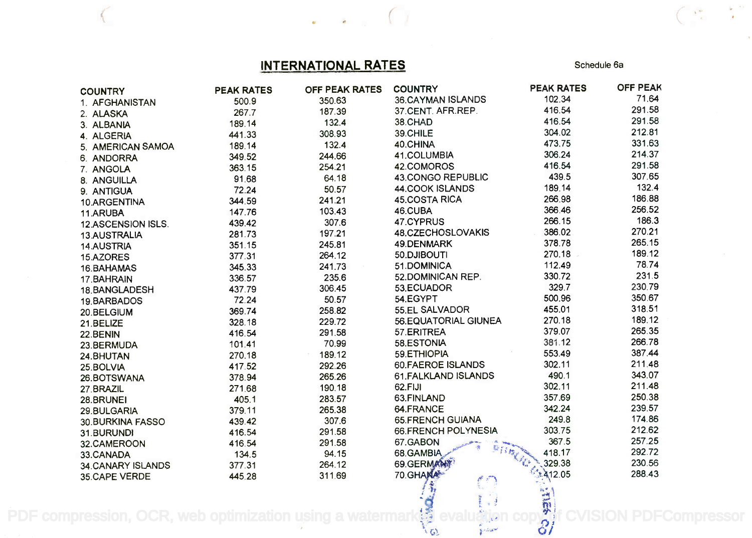## INTERNATIONAL RATES Schedule 6a

 $\begin{array}{ccc} \bullet\ &\bullet\ &\bullet\ \end{array}$ 

 $\frac{\partial}{\partial t} \left( \frac{\partial}{\partial t} \right) = \frac{1}{2} \left( \frac{\partial}{\partial t} \right)$ 

 $\frac{1}{\sqrt{2}}$ 

| <b>COUNTRY</b>     | <b>PEAK RATES</b> | OFF PEAK RATES | <b>COUNTRY</b>                | <b>PEAK RATES</b>         | <b>OFF PEAK</b> |
|--------------------|-------------------|----------------|-------------------------------|---------------------------|-----------------|
| 1. AFGHANISTAN     | 500.9             | 350.63         | 36.CAYMAN ISLANDS             | 102.34                    | 71.64           |
| 2. ALASKA          | 267.7             | 187.39         | 37.CENT. AFR.REP.             | 416.54                    | 291.58          |
| 3. ALBANIA         | 189.14            | 132.4          | 38.CHAD                       | 416.54                    | 291.58          |
| 4. ALGERIA         | 441.33            | 308.93         | 39.CHILE                      | 304.02                    | 212.81          |
| 5. AMERICAN SAMOA  | 189.14            | 132.4          | 40.CHINA                      | 473.75                    | 331.63          |
| 6. ANDORRA         | 349.52            | 244.66         | 41.COLUMBIA                   | 306.24                    | 214.37          |
| 7. ANGOLA          | 363.15            | 254.21         | 42.COMOROS                    | 416.54                    | 291.58          |
| 8. ANGUILLA        | 91.68             | 64.18          | 43.CONGO REPUBLIC             | 439.5                     | 307.65          |
| 9. ANTIGUA         | 72.24             | 50.57          | 44.COOK ISLANDS               | 189.14                    | 132.4           |
| 10.ARGENTINA       | 344.59            | 241.21         | 45.COSTA RICA                 | 266.98                    | 186.88          |
| 11.ARUBA           | 147.76            | 103.43         | 46.CUBA                       | 366.46                    | 256.52          |
| 12.ASCENSION ISLS. | 439.42            | 307.6          | 47.CYPRUS                     | 266.15                    | 186.3           |
| 13.AUSTRALIA       | 281.73            | 197.21         | 48.CZECHOSLOVAKIS             | 386.02                    | 270.21          |
| <b>14.AUSTRIA</b>  | 351.15            | 245.81         | 49.DENMARK                    | 378.78                    | 265.15          |
| 15.AZORES          | 377.31            | 264.12         | 50.DJIBOUTI                   | 270.18                    | 189.12          |
| 16.BAHAMAS         | 345.33            | 241.73         | 51.DOMINICA                   | 112.49                    | 78.74           |
| 17.BAHRAIN         | 336.57            | 235.6          | 52.DOMINICAN REP.             | 330.72                    | 231.5           |
| 18.BANGLADESH      | 437.79            | 306.45         | 53.ECUADOR                    | 329.7                     | 230.79          |
| 19.BARBADOS        | 72.24             | 50.57          | 54.EGYPT                      | 500.96                    | 350.67          |
| 20.BELGIUM         | 369.74            | 258.82         | 55.EL SALVADOR                | 455.01                    | 318.51          |
| 21.BELIZE          | 328.18            | 229.72         | 56.EQUATORIAL GIUNEA          | 270.18                    | 189.12          |
| 22.BENIN           | 416.54            | 291.58         | 57.ERITREA                    | 379.07                    | 265.35          |
| 23.BERMUDA         | 101.41            | 70.99          | 58.ESTONIA                    | 381.12                    | 266.78          |
| 24.BHUTAN          | 270.18            | 189.12         | 59.ETHIOPIA                   | 553.49                    | 387.44          |
| 25.BOLVIA          | 417.52            | 292.26         | <b>60.FAEROE ISLANDS</b>      | 302.11                    | 211.48          |
| 26.BOTSWANA        | 378.94            | 265.26         | 61. FALKLAND ISLANDS          | 490.1                     | 343.07          |
| 27.BRAZIL          | 271.68            | 190.18         | 62.FIJI                       | 302.11                    | 211.48          |
| 28.BRUNEI          | 405.1             | 283.57         | 63.FINLAND                    | 357.69                    | 250.38          |
| 29.BULGARIA        | 379.11            | 265.38         | 64.FRANCE                     | 342.24                    | 239.57          |
| 30. BURKINA FASSO  | 439.42            | 307.6          | <b>65.FRENCH GUIANA</b>       | 249.8                     | 174.86          |
| 31.BURUNDI         | 416.54            | 291.58         | 66.FRENCH POLYNESIA           | 303.75                    | 212.62          |
| 32.CAMEROON        | 416.54            | 291.58         | 67.GABON                      | 367.5                     | 257.25          |
| 33.CANADA          | 134.5             | 94.15          | 68.GAMBIA                     | 418.17<br><b>Campbell</b> | 292.72          |
| 34.CANARY ISLANDS  | 377.31            | 264.12         | 69.GERMANY                    | 329.38                    | 230.56          |
| 35.CAPE VERDE      | 445.28            | 311.69         | 70. GHANA                     | *412.05                   | 288.43          |
|                    |                   |                |                               | <b>RESS</b>               |                 |
|                    |                   |                |                               |                           |                 |
|                    | web optimization  |                | $\chi$ $\approx$              | 81                        |                 |
|                    |                   |                | Collegent<br>$\mathfrak{c}_2$ |                           |                 |

ite in the set of the set of the set of the set of the set of the set of the set of the set of the set of the s PDF compression, OCR, web optimization using a watermark $\ddot{\ddot{\xi}}$  evaluation copy of CVISION PDFCompressor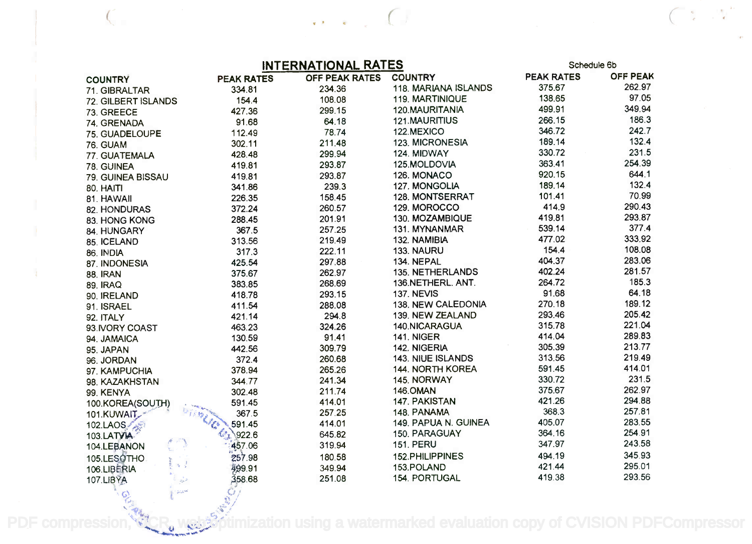| <b>INITED MATIC MALL DATES</b> |  |  |
|--------------------------------|--|--|

 $\cdots$ 

|                                                                                                                                                           | <b>INTERNATIONAL RATES</b> |                |                             | Schedule 6b       |                 |  |
|-----------------------------------------------------------------------------------------------------------------------------------------------------------|----------------------------|----------------|-----------------------------|-------------------|-----------------|--|
| <b>COUNTRY</b>                                                                                                                                            | <b>PEAK RATES</b>          | OFF PEAK RATES | <b>COUNTRY</b>              | <b>PEAK RATES</b> | <b>OFF PEAK</b> |  |
| 71. GIBRALTAR                                                                                                                                             | 334.81                     | 234.36         | <b>118. MARIANA ISLANDS</b> | 375.67            | 262.97          |  |
| 72. GILBERT ISLANDS                                                                                                                                       | 154.4                      | 108.08         | 119, MARTINIQUE             | 138.65            | 97.05           |  |
| 73. GREECE                                                                                                                                                | 427.36                     | 299.15         | 120.MAURITANIA              | 499.91            | 349.94          |  |
| 74. GRENADA                                                                                                                                               | 91.68                      | 64.18          | 121.MAURITIUS               | 266.15            | 186.3           |  |
| 75. GUADELOUPE                                                                                                                                            | 112.49                     | 78.74          | 122.MEXICO                  | 346.72            | 242.7           |  |
| 76. GUAM                                                                                                                                                  | 302.11                     | 211.48         | 123. MICRONESIA             | 189.14            | 132.4           |  |
| 77. GUATEMALA                                                                                                                                             | 428.48                     | 299.94         | 124. MIDWAY                 | 330.72            | 231.5           |  |
| 78. GUINEA                                                                                                                                                | 419.81                     | 293.87         | 125.MOLDOVIA                | 363.41            | 254.39          |  |
| 79. GUINEA BISSAU                                                                                                                                         | 419.81                     | 293.87         | 126. MONACO                 | 920.15            | 644.1           |  |
| 80. HAITI                                                                                                                                                 | 341.86                     | 239.3          | 127. MONGOLIA               | 189.14            | 132.4           |  |
| 81. HAWAII                                                                                                                                                | 226.35                     | 158.45         | 128. MONTSERRAT             | 101.41            | 70.99           |  |
| 82. HONDURAS                                                                                                                                              | 372.24                     | 260.57         | 129. MOROCCO                | 414.9             | 290.43          |  |
| 83. HONG KONG                                                                                                                                             | 288.45                     | 201.91         | 130. MOZAMBIQUE             | 419.81            | 293.87          |  |
| 84. HUNGARY                                                                                                                                               | 367.5                      | 257.25         | 131. MYNANMAR               | 539.14            | 377.4           |  |
| 85. ICELAND                                                                                                                                               | 313.56                     | 219.49         | 132. NAMIBIA                | 477.02            | 333.92          |  |
| 86. INDIA                                                                                                                                                 | 317.3                      | 222.11         | 133. NAURU                  | 154.4             | 108.08          |  |
| 87. INDONESIA                                                                                                                                             | 425.54                     | 297.88         | 134. NEPAL                  | 404.37            | 283.06          |  |
| <b>88. IRAN</b>                                                                                                                                           | 375.67                     | 262.97         | 135. NETHERLANDS            | 402.24            | 281.57          |  |
| <b>89. IRAQ</b>                                                                                                                                           | 383.85                     | 268.69         | 136.NETHERL. ANT.           | 264.72            | 185.3           |  |
| 90. IRELAND                                                                                                                                               | 418.78                     | 293.15         | <b>137. NEVIS</b>           | 91.68             | 64.18           |  |
| 91. ISRAEL                                                                                                                                                | 411.54                     | 288.08         | 138. NEW CALEDONIA          | 270.18            | 189.12          |  |
| 92. ITALY                                                                                                                                                 | 421.14                     | 294.8          | 139. NEW ZEALAND            | 293.46            | 205.42          |  |
| 93. IVORY COAST                                                                                                                                           | 463.23                     | 324.26         | 140.NICARAGUA               | 315.78            | 221.04          |  |
| 94. JAMAICA                                                                                                                                               | 130.59                     | 91.41          | <b>141. NIGER</b>           | 414.04            | 289.83          |  |
| 95. JAPAN                                                                                                                                                 | 442.56                     | 309.79         | 142. NIGERIA                | 305.39            | 213.77          |  |
| 96. JORDAN                                                                                                                                                | 372.4                      | 260.68         | <b>143. NIUE ISLANDS</b>    | 313.56            | 219.49          |  |
| 97. KAMPUCHIA                                                                                                                                             | 378.94                     | 265.26         | 144. NORTH KOREA            | 591.45            | 414.01          |  |
| 98. KAZAKHSTAN                                                                                                                                            | 344.77                     | 241.34         | 145. NORWAY                 | 330.72            | 231.5           |  |
| 99. KENYA                                                                                                                                                 | 302.48                     | 211.74         | <b>146.OMAN</b>             | 375.67            | 262.97          |  |
| 100.KOREA(SOUTH)                                                                                                                                          | 591.45                     | 414.01         | 147. PAKISTAN               | 421.26            | 294.88          |  |
| 101.KUWAIT<br>6.趣。                                                                                                                                        | 367.5                      | 257.25         | 148. PANAMA                 | 368.3             | 257.81          |  |
| 102.LAOS                                                                                                                                                  | 591.45                     | 414.01         | 149. PAPUA N. GUINEA        | 405.07            | 283.55          |  |
| 103.LATVIA                                                                                                                                                | 922.6                      | 645.82         | 150. PARAGUAY               | 364.16            | 254.91          |  |
| 104.LEBANON                                                                                                                                               | 457.06                     | 319.94         | <b>151. PERU</b>            | 347.97            | 243.58          |  |
| 105.LESOTHO.                                                                                                                                              | 257.98                     | 180.58         | 152.PHILIPPINES             | 494.19            | 345.93          |  |
| $\leq \frac{1}{2}$<br>106.LIBERIA                                                                                                                         | 499.91                     | 349.94         | 153.POLAND                  | 421.44            | 295.01          |  |
| <b>107.LIBYA</b><br>$\frac{1}{2\sqrt{2}}$                                                                                                                 | 358.68                     | 251.08         | 154. PORTUGAL               | 419.38            | 293.56          |  |
| $\frac{1}{2} \frac{1}{2} \frac{1}{2} \frac{1}{2} \frac{1}{2} \frac{1}{2} \frac{1}{2} \frac{1}{2}$<br>$\overline{\mathcal{Q}}_{\mathcal{P}_{\lambda}}^{1}$ |                            |                |                             |                   |                 |  |

PDF compression, C<sub>o</sub>r, websortimization using a watermarked evaluation copy of CVISION PDFCompressor

 $\frac{4\pi}{\pi} \frac{1}{\pi} \frac{d\phi}{d\phi}$  $\mathcal{M}_{\mathcal{A}}$ 

 $\frac{1}{2}$ 

 $47.5.1$ 

N....ot st.CP.!..=-.'

 $\mathbb{R}$  , the  $\mathbb{R}$ 

*.~ ..~{:y.-.* **.,** *61 ., <i>r*, *r*<sub>, *r*</sub>, *r*, *c* ~-.:, ••~.•:..'i't"';'